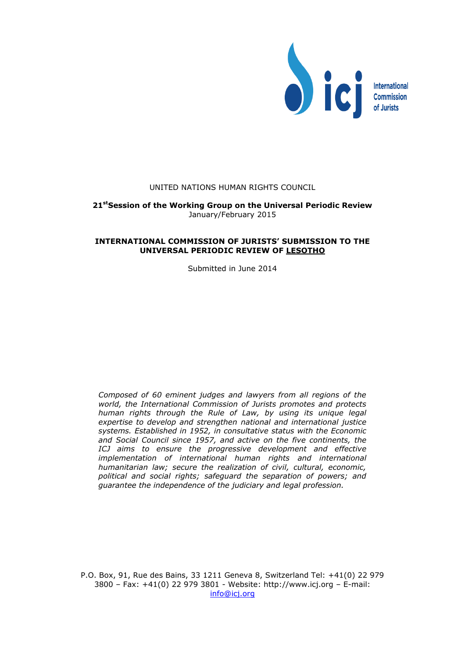

## UNITED NATIONS HUMAN RIGHTS COUNCIL

## **21stSession of the Working Group on the Universal Periodic Review** January/February 2015

### **INTERNATIONAL COMMISSION OF JURISTS' SUBMISSION TO THE UNIVERSAL PERIODIC REVIEW OF LESOTHO**

Submitted in June 2014

*Composed of 60 eminent judges and lawyers from all regions of the world, the International Commission of Jurists promotes and protects human rights through the Rule of Law, by using its unique legal expertise to develop and strengthen national and international justice systems. Established in 1952, in consultative status with the Economic and Social Council since 1957, and active on the five continents, the ICJ aims to ensure the progressive development and effective implementation of international human rights and international humanitarian law; secure the realization of civil, cultural, economic, political and social rights; safeguard the separation of powers; and guarantee the independence of the judiciary and legal profession.*

P.O. Box, 91, Rue des Bains, 33 1211 Geneva 8, Switzerland Tel: +41(0) 22 979 3800 – Fax: +41(0) 22 979 3801 - Website: http://www.icj.org – E-mail: [info@icj.org](mailto:info@icj.org)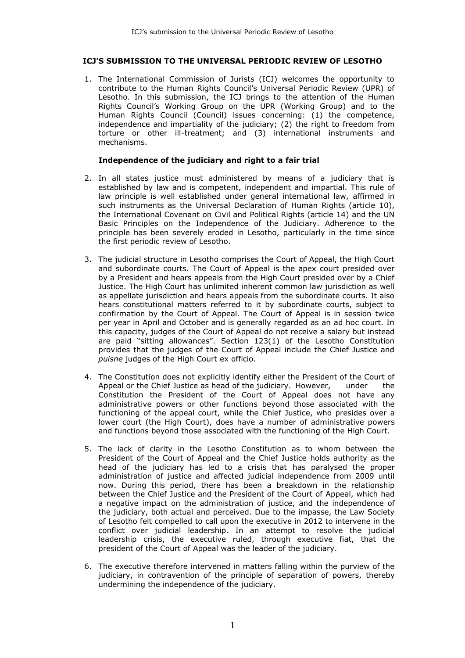## **ICJ'S SUBMISSION TO THE UNIVERSAL PERIODIC REVIEW OF LESOTHO**

1. The International Commission of Jurists (ICJ) welcomes the opportunity to contribute to the Human Rights Council's Universal Periodic Review (UPR) of Lesotho. In this submission, the ICJ brings to the attention of the Human Rights Council's Working Group on the UPR (Working Group) and to the Human Rights Council (Council) issues concerning: (1) the competence, independence and impartiality of the judiciary; (2) the right to freedom from torture or other ill-treatment; and (3) international instruments and mechanisms.

## **Independence of the judiciary and right to a fair trial**

- 2. In all states justice must administered by means of a judiciary that is established by law and is competent, independent and impartial. This rule of law principle is well established under general international law, affirmed in such instruments as the Universal Declaration of Human Rights (article 10), the International Covenant on Civil and Political Rights (article 14) and the UN Basic Principles on the Independence of the Judiciary. Adherence to the principle has been severely eroded in Lesotho, particularly in the time since the first periodic review of Lesotho.
- 3. The judicial structure in Lesotho comprises the Court of Appeal, the High Court and subordinate courts. The Court of Appeal is the apex court presided over by a President and hears appeals from the High Court presided over by a Chief Justice. The High Court has unlimited inherent common law jurisdiction as well as appellate jurisdiction and hears appeals from the subordinate courts. It also hears constitutional matters referred to it by subordinate courts, subject to confirmation by the Court of Appeal. The Court of Appeal is in session twice per year in April and October and is generally regarded as an ad hoc court. In this capacity, judges of the Court of Appeal do not receive a salary but instead are paid "sitting allowances". Section 123(1) of the Lesotho Constitution provides that the judges of the Court of Appeal include the Chief Justice and *puisne* judges of the High Court ex officio.
- 4. The Constitution does not explicitly identify either the President of the Court of Appeal or the Chief Justice as head of the judiciary. However, under the Constitution the President of the Court of Appeal does not have any administrative powers or other functions beyond those associated with the functioning of the appeal court, while the Chief Justice, who presides over a lower court (the High Court), does have a number of administrative powers and functions beyond those associated with the functioning of the High Court.
- 5. The lack of clarity in the Lesotho Constitution as to whom between the President of the Court of Appeal and the Chief Justice holds authority as the head of the judiciary has led to a crisis that has paralysed the proper administration of justice and affected judicial independence from 2009 until now. During this period, there has been a breakdown in the relationship between the Chief Justice and the President of the Court of Appeal, which had a negative impact on the administration of justice, and the independence of the judiciary, both actual and perceived. Due to the impasse, the Law Society of Lesotho felt compelled to call upon the executive in 2012 to intervene in the conflict over judicial leadership. In an attempt to resolve the judicial leadership crisis, the executive ruled, through executive fiat, that the president of the Court of Appeal was the leader of the judiciary.
- 6. The executive therefore intervened in matters falling within the purview of the judiciary, in contravention of the principle of separation of powers, thereby undermining the independence of the judiciary.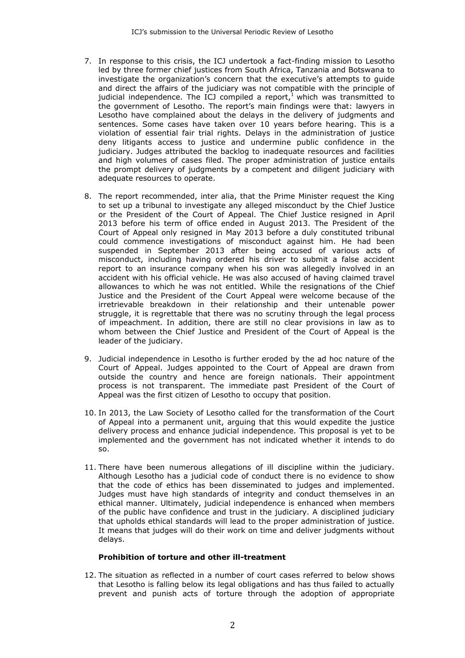- 7. In response to this crisis, the ICJ undertook a fact-finding mission to Lesotho led by three former chief justices from South Africa, Tanzania and Botswana to investigate the organization's concern that the executive's attempts to guide and direct the affairs of the judiciary was not compatible with the principle of judicial independence. The ICJ compiled a report, $1$  which was transmitted to the government of Lesotho. The report's main findings were that: lawyers in Lesotho have complained about the delays in the delivery of judgments and sentences. Some cases have taken over 10 years before hearing. This is a violation of essential fair trial rights. Delays in the administration of justice deny litigants access to justice and undermine public confidence in the judiciary. Judges attributed the backlog to inadequate resources and facilities and high volumes of cases filed. The proper administration of justice entails the prompt delivery of judgments by a competent and diligent judiciary with adequate resources to operate.
- 8. The report recommended, inter alia, that the Prime Minister request the King to set up a tribunal to investigate any alleged misconduct by the Chief Justice or the President of the Court of Appeal. The Chief Justice resigned in April 2013 before his term of office ended in August 2013. The President of the Court of Appeal only resigned in May 2013 before a duly constituted tribunal could commence investigations of misconduct against him. He had been suspended in September 2013 after being accused of various acts of misconduct, including having ordered his driver to submit a false accident report to an insurance company when his son was allegedly involved in an accident with his official vehicle. He was also accused of having claimed travel allowances to which he was not entitled. While the resignations of the Chief Justice and the President of the Court Appeal were welcome because of the irretrievable breakdown in their relationship and their untenable power struggle, it is regrettable that there was no scrutiny through the legal process of impeachment. In addition, there are still no clear provisions in law as to whom between the Chief Justice and President of the Court of Appeal is the leader of the judiciary.
- 9. Judicial independence in Lesotho is further eroded by the ad hoc nature of the Court of Appeal. Judges appointed to the Court of Appeal are drawn from outside the country and hence are foreign nationals. Their appointment process is not transparent. The immediate past President of the Court of Appeal was the first citizen of Lesotho to occupy that position.
- 10. In 2013, the Law Society of Lesotho called for the transformation of the Court of Appeal into a permanent unit, arguing that this would expedite the justice delivery process and enhance judicial independence. This proposal is yet to be implemented and the government has not indicated whether it intends to do so.
- 11. There have been numerous allegations of ill discipline within the judiciary. Although Lesotho has a judicial code of conduct there is no evidence to show that the code of ethics has been disseminated to judges and implemented. Judges must have high standards of integrity and conduct themselves in an ethical manner. Ultimately, judicial independence is enhanced when members of the public have confidence and trust in the judiciary. A disciplined judiciary that upholds ethical standards will lead to the proper administration of justice. It means that judges will do their work on time and deliver judgments without delays.

# **Prohibition of torture and other ill-treatment**

12. The situation as reflected in a number of court cases referred to below shows that Lesotho is falling below its legal obligations and has thus failed to actually prevent and punish acts of torture through the adoption of appropriate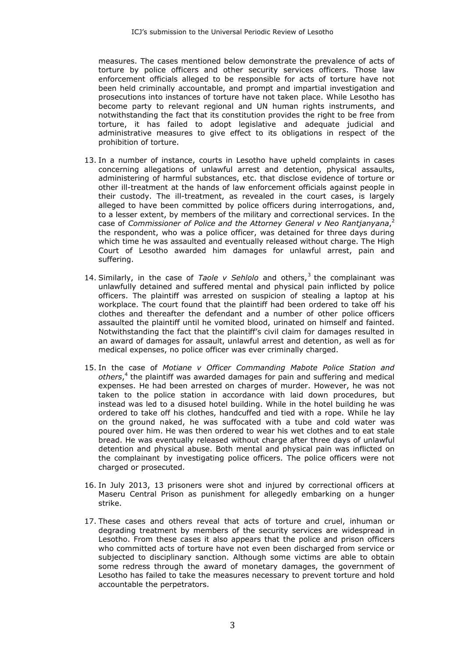measures. The cases mentioned below demonstrate the prevalence of acts of torture by police officers and other security services officers. Those law enforcement officials alleged to be responsible for acts of torture have not been held criminally accountable, and prompt and impartial investigation and prosecutions into instances of torture have not taken place. While Lesotho has become party to relevant regional and UN human rights instruments, and notwithstanding the fact that its constitution provides the right to be free from torture, it has failed to adopt legislative and adequate judicial and administrative measures to give effect to its obligations in respect of the prohibition of torture.

- 13. In a number of instance, courts in Lesotho have upheld complaints in cases concerning allegations of unlawful arrest and detention, physical assaults, administering of harmful substances, etc. that disclose evidence of torture or other ill-treatment at the hands of law enforcement officials against people in their custody. The ill-treatment, as revealed in the court cases, is largely alleged to have been committed by police officers during interrogations, and, to a lesser extent, by members of the military and correctional services. In the case of *Commissioner of Police and the Attorney General v Neo Rantjanyana*, 2 the respondent, who was a police officer, was detained for three days during which time he was assaulted and eventually released without charge. The High Court of Lesotho awarded him damages for unlawful arrest, pain and suffering.
- 14. Similarly, in the case of *Taole v Sehlolo* and others,<sup>3</sup> the complainant was unlawfully detained and suffered mental and physical pain inflicted by police officers. The plaintiff was arrested on suspicion of stealing a laptop at his workplace. The court found that the plaintiff had been ordered to take off his clothes and thereafter the defendant and a number of other police officers assaulted the plaintiff until he vomited blood, urinated on himself and fainted. Notwithstanding the fact that the plaintiff's civil claim for damages resulted in an award of damages for assault, unlawful arrest and detention, as well as for medical expenses, no police officer was ever criminally charged.
- 15. In the case of *Motiane v Officer Commanding Mabote Police Station and others*, 4 the plaintiff was awarded damages for pain and suffering and medical expenses. He had been arrested on charges of murder. However, he was not taken to the police station in accordance with laid down procedures, but instead was led to a disused hotel building. While in the hotel building he was ordered to take off his clothes, handcuffed and tied with a rope. While he lay on the ground naked, he was suffocated with a tube and cold water was poured over him. He was then ordered to wear his wet clothes and to eat stale bread. He was eventually released without charge after three days of unlawful detention and physical abuse. Both mental and physical pain was inflicted on the complainant by investigating police officers. The police officers were not charged or prosecuted.
- 16. In July 2013, 13 prisoners were shot and injured by correctional officers at Maseru Central Prison as punishment for allegedly embarking on a hunger strike.
- 17. These cases and others reveal that acts of torture and cruel, inhuman or degrading treatment by members of the security services are widespread in Lesotho. From these cases it also appears that the police and prison officers who committed acts of torture have not even been discharged from service or subjected to disciplinary sanction. Although some victims are able to obtain some redress through the award of monetary damages, the government of Lesotho has failed to take the measures necessary to prevent torture and hold accountable the perpetrators.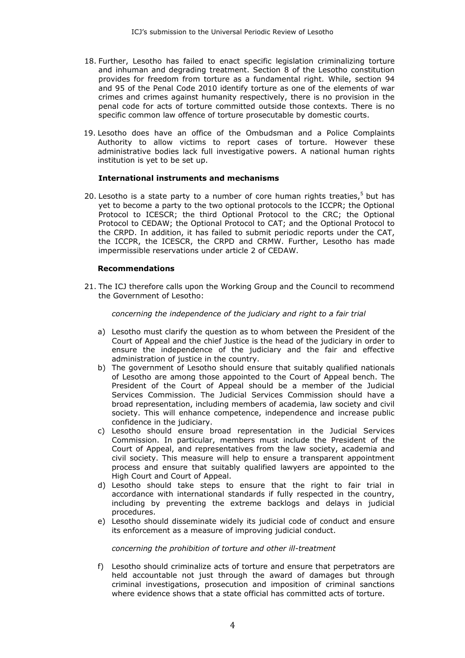- 18. Further, Lesotho has failed to enact specific legislation criminalizing torture and inhuman and degrading treatment. Section 8 of the Lesotho constitution provides for freedom from torture as a fundamental right. While, section 94 and 95 of the Penal Code 2010 identify torture as one of the elements of war crimes and crimes against humanity respectively, there is no provision in the penal code for acts of torture committed outside those contexts. There is no specific common law offence of torture prosecutable by domestic courts.
- 19. Lesotho does have an office of the Ombudsman and a Police Complaints Authority to allow victims to report cases of torture. However these administrative bodies lack full investigative powers. A national human rights institution is yet to be set up.

# **International instruments and mechanisms**

20. Lesotho is a state party to a number of core human rights treaties,<sup>5</sup> but has yet to become a party to the two optional protocols to the ICCPR; the Optional Protocol to ICESCR; the third Optional Protocol to the CRC; the Optional Protocol to CEDAW; the Optional Protocol to CAT; and the Optional Protocol to the CRPD. In addition, it has failed to submit periodic reports under the CAT, the ICCPR, the ICESCR, the CRPD and CRMW. Further, Lesotho has made impermissible reservations under article 2 of CEDAW.

## **Recommendations**

21. The ICJ therefore calls upon the Working Group and the Council to recommend the Government of Lesotho:

### *concerning the independence of the judiciary and right to a fair trial*

- a) Lesotho must clarify the question as to whom between the President of the Court of Appeal and the chief Justice is the head of the judiciary in order to ensure the independence of the judiciary and the fair and effective administration of justice in the country.
- b) The government of Lesotho should ensure that suitably qualified nationals of Lesotho are among those appointed to the Court of Appeal bench. The President of the Court of Appeal should be a member of the Judicial Services Commission. The Judicial Services Commission should have a broad representation, including members of academia, law society and civil society. This will enhance competence, independence and increase public confidence in the judiciary.
- c) Lesotho should ensure broad representation in the Judicial Services Commission. In particular, members must include the President of the Court of Appeal, and representatives from the law society, academia and civil society. This measure will help to ensure a transparent appointment process and ensure that suitably qualified lawyers are appointed to the High Court and Court of Appeal.
- d) Lesotho should take steps to ensure that the right to fair trial in accordance with international standards if fully respected in the country, including by preventing the extreme backlogs and delays in judicial procedures.
- e) Lesotho should disseminate widely its judicial code of conduct and ensure its enforcement as a measure of improving judicial conduct.

### *concerning the prohibition of torture and other ill-treatment*

f) Lesotho should criminalize acts of torture and ensure that perpetrators are held accountable not just through the award of damages but through criminal investigations, prosecution and imposition of criminal sanctions where evidence shows that a state official has committed acts of torture.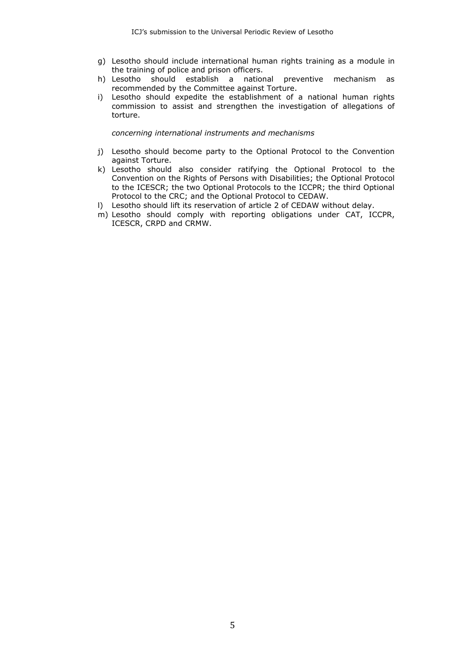- g) Lesotho should include international human rights training as a module in the training of police and prison officers.
- h) Lesotho should establish a national preventive mechanism as recommended by the Committee against Torture.
- i) Lesotho should expedite the establishment of a national human rights commission to assist and strengthen the investigation of allegations of torture.

*concerning international instruments and mechanisms*

- j) Lesotho should become party to the Optional Protocol to the Convention against Torture.
- k) Lesotho should also consider ratifying the Optional Protocol to the Convention on the Rights of Persons with Disabilities; the Optional Protocol to the ICESCR; the two Optional Protocols to the ICCPR; the third Optional Protocol to the CRC; and the Optional Protocol to CEDAW.
- l) Lesotho should lift its reservation of article 2 of CEDAW without delay.
- m) Lesotho should comply with reporting obligations under CAT, ICCPR, ICESCR, CRPD and CRMW.